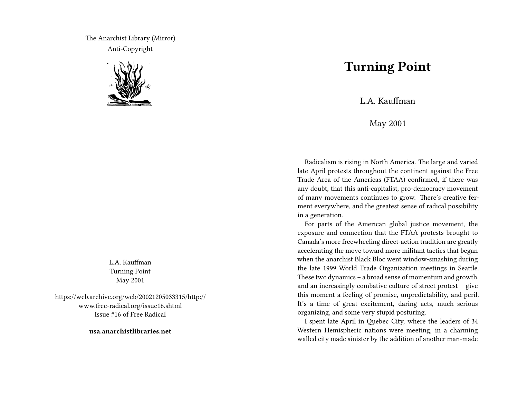The Anarchist Library (Mirror) Anti-Copyright



L.A. Kauffman Turning Point May 2001

https://web.archive.org/web/20021205033315/http:// www.free-radical.org/issue16.shtml Issue #16 of Free Radical

**usa.anarchistlibraries.net**

## **Turning Point**

L.A. Kauffman

May 2001

Radicalism is rising in North America. The large and varied late April protests throughout the continent against the Free Trade Area of the Americas (FTAA) confirmed, if there was any doubt, that this anti-capitalist, pro-democracy movement of many movements continues to grow. There's creative ferment everywhere, and the greatest sense of radical possibility in a generation.

For parts of the American global justice movement, the exposure and connection that the FTAA protests brought to Canada's more freewheeling direct-action tradition are greatly accelerating the move toward more militant tactics that began when the anarchist Black Bloc went window-smashing during the late 1999 World Trade Organization meetings in Seattle. These two dynamics – a broad sense of momentum and growth, and an increasingly combative culture of street protest – give this moment a feeling of promise, unpredictability, and peril. It's a time of great excitement, daring acts, much serious organizing, and some very stupid posturing.

I spent late April in Quebec City, where the leaders of 34 Western Hemispheric nations were meeting, in a charming walled city made sinister by the addition of another man-made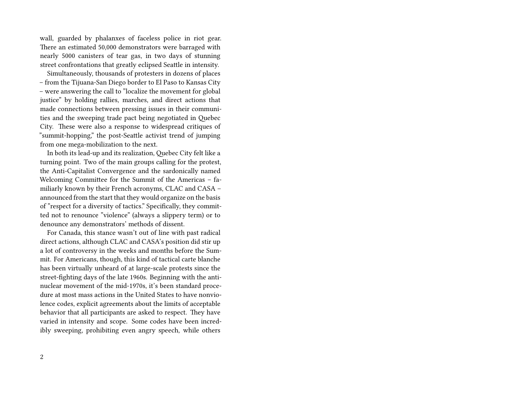wall, guarded by phalanxes of faceless police in riot gear. There an estimated 50,000 demonstrators were barraged with nearly 5000 canisters of tear gas, in two days of stunning street confrontations that greatly eclipsed Seattle in intensity.

Simultaneously, thousands of protesters in dozens of places – from the Tijuana-San Diego border to El Paso to Kansas City – were answering the call to "localize the movement for global justice" by holding rallies, marches, and direct actions that made connections between pressing issues in their communities and the sweeping trade pact being negotiated in Quebec City. These were also a response to widespread critiques of "summit-hopping," the post-Seattle activist trend of jumping from one mega-mobilization to the next.

In both its lead-up and its realization, Quebec City felt like a turning point. Two of the main groups calling for the protest, the Anti-Capitalist Convergence and the sardonically named Welcoming Committee for the Summit of the Americas – familiarly known by their French acronyms, CLAC and CASA – announced from the start that they would organize on the basis of "respect for a diversity of tactics." Specifically, they committed not to renounce "violence" (always a slippery term) or to denounce any demonstrators' methods of dissent.

For Canada, this stance wasn't out of line with past radical direct actions, although CLAC and CASA's position did stir up a lot of controversy in the weeks and months before the Summit. For Americans, though, this kind of tactical carte blanche has been virtually unheard of at large-scale protests since the street-fighting days of the late 1960s. Beginning with the antinuclear movement of the mid-1970s, it's been standard procedure at most mass actions in the United States to have nonviolence codes, explicit agreements about the limits of acceptable behavior that all participants are asked to respect. They have varied in intensity and scope. Some codes have been incredibly sweeping, prohibiting even angry speech, while others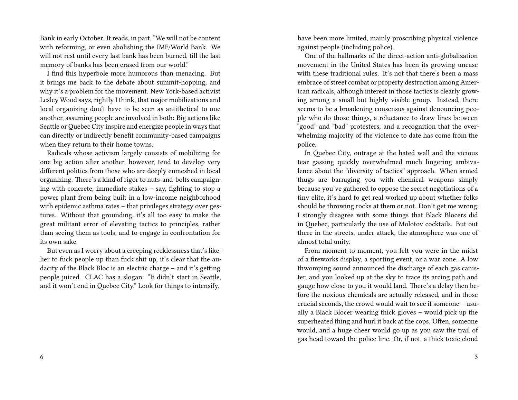Bank in early October. It reads, in part, "We will not be content with reforming, or even abolishing the IMF/World Bank. We will not rest until every last bank has been burned, till the last memory of banks has been erased from our world."

I find this hyperbole more humorous than menacing. But it brings me back to the debate about summit-hopping, and why it's a problem for the movement. New York-based activist Lesley Wood says, rightly I think, that major mobilizations and local organizing don't have to be seen as antithetical to one another, assuming people are involved in both: Big actions like Seattle or Quebec City inspire and energize people in ways that can directly or indirectly benefit community-based campaigns when they return to their home towns.

Radicals whose activism largely consists of mobilizing for one big action after another, however, tend to develop very different politics from those who are deeply enmeshed in local organizing. There's a kind of rigor to nuts-and-bolts campaigning with concrete, immediate stakes – say, fighting to stop a power plant from being built in a low-income neighborhood with epidemic asthma rates – that privileges strategy over gestures. Without that grounding, it's all too easy to make the great militant error of elevating tactics to principles, rather than seeing them as tools, and to engage in confrontation for its own sake.

But even as I worry about a creeping recklessness that's likelier to fuck people up than fuck shit up, it's clear that the audacity of the Black Bloc is an electric charge – and it's getting people juiced. CLAC has a slogan: "It didn't start in Seattle, and it won't end in Quebec City." Look for things to intensify.

have been more limited, mainly proscribing physical violence against people (including police).

One of the hallmarks of the direct-action anti-globalization movement in the United States has been its growing unease with these traditional rules. It's not that there's been a mass embrace of street combat or property destruction among American radicals, although interest in those tactics is clearly growing among a small but highly visible group. Instead, there seems to be a broadening consensus against denouncing people who do those things, a reluctance to draw lines between "good" and "bad" protesters, and a recognition that the overwhelming majority of the violence to date has come from the police.

In Quebec City, outrage at the hated wall and the vicious tear gassing quickly overwhelmed much lingering ambivalence about the "diversity of tactics" approach. When armed thugs are barraging you with chemical weapons simply because you've gathered to oppose the secret negotiations of a tiny elite, it's hard to get real worked up about whether folks should be throwing rocks at them or not. Don't get me wrong: I strongly disagree with some things that Black Blocers did in Quebec, particularly the use of Molotov cocktails. But out there in the streets, under attack, the atmosphere was one of almost total unity.

From moment to moment, you felt you were in the midst of a fireworks display, a sporting event, or a war zone. A low thwomping sound announced the discharge of each gas canister, and you looked up at the sky to trace its arcing path and gauge how close to you it would land. There's a delay then before the noxious chemicals are actually released, and in those crucial seconds, the crowd would wait to see if someone – usually a Black Blocer wearing thick gloves – would pick up the superheated thing and hurl it back at the cops. Often, someone would, and a huge cheer would go up as you saw the trail of gas head toward the police line. Or, if not, a thick toxic cloud